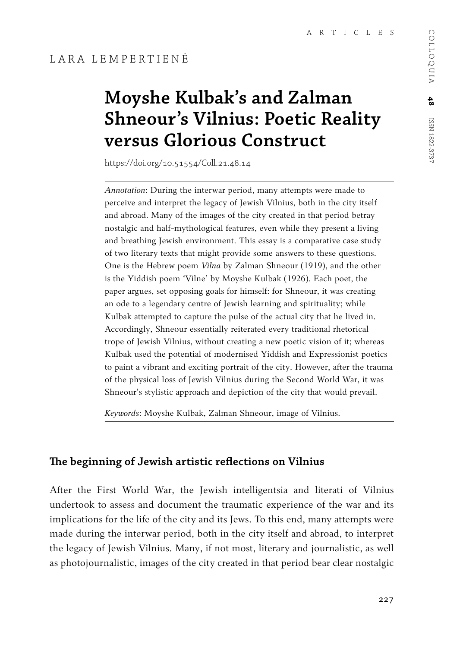# **Moyshe Kulbak's and Zalman Shneour's Vilnius: Poetic Reality versus Glorious Construct**

https://doi.org/10.51554/Coll.21.48.14

*Annotation*: During the interwar period, many attempts were made to perceive and interpret the legacy of Jewish Vilnius, both in the city itself and abroad. Many of the images of the city created in that period betray nostalgic and half-mythological features, even while they present a living and breathing Jewish environment. This essay is a comparative case study of two literary texts that might provide some answers to these questions. One is the Hebrew poem *Vilna* by Zalman Shneour (1919), and the other is the Yiddish poem 'Vilne' by Moyshe Kulbak (1926). Each poet, the paper argues, set opposing goals for himself: for Shneour, it was creating an ode to a legendary centre of Jewish learning and spirituality; while Kulbak attempted to capture the pulse of the actual city that he lived in. Accordingly, Shneour essentially reiterated every traditional rhetorical trope of Jewish Vilnius, without creating a new poetic vision of it; whereas Kulbak used the potential of modernised Yiddish and Expressionist poetics to paint a vibrant and exciting portrait of the city. However, after the trauma of the physical loss of Jewish Vilnius during the Second World War, it was Shneour's stylistic approach and depiction of the city that would prevail.

*Keywords*: Moyshe Kulbak, Zalman Shneour, image of Vilnius.

#### **The beginning of Jewish artistic reflections on Vilnius**

After the First World War, the Jewish intelligentsia and literati of Vilnius undertook to assess and document the traumatic experience of the war and its implications for the life of the city and its Jews. To this end, many attempts were made during the interwar period, both in the city itself and abroad, to interpret the legacy of Jewish Vilnius. Many, if not most, literary and journalistic, as well as photojournalistic, images of the city created in that period bear clear nostalgic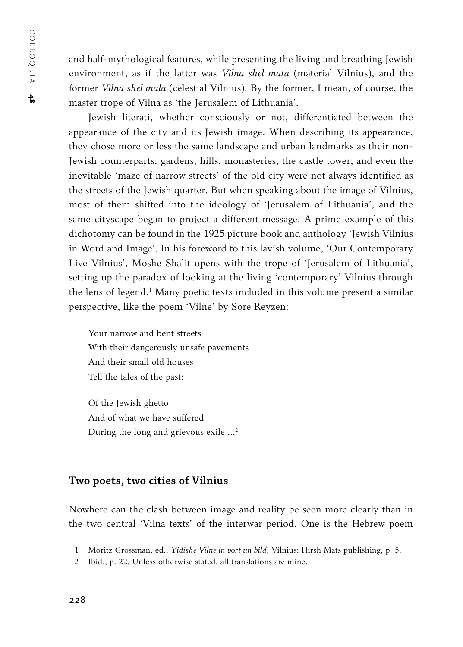COLLOQUIA | COLLOQUIA | 48

and half-mythological features, while presenting the living and breathing Jewish environment, as if the latter was *Vilna shel mata* (material Vilnius), and the former *Vilna shel mala* (celestial Vilnius). By the former, I mean, of course, the master trope of Vilna as 'the Jerusalem of Lithuania'.

Jewish literati, whether consciously or not, differentiated between the appearance of the city and its Jewish image. When describing its appearance, they chose more or less the same landscape and urban landmarks as their non-Jewish counterparts: gardens, hills, monasteries, the castle tower; and even the inevitable 'maze of narrow streets' of the old city were not always identified as the streets of the Jewish quarter. But when speaking about the image of Vilnius, most of them shifted into the ideology of 'Jerusalem of Lithuania', and the same cityscape began to project a different message. A prime example of this dichotomy can be found in the 1925 picture book and anthology 'Jewish Vilnius in Word and Image'. In his foreword to this lavish volume, 'Our Contemporary Live Vilnius', Moshe Shalit opens with the trope of 'Jerusalem of Lithuania', setting up the paradox of looking at the living 'contemporary' Vilnius through the lens of legend.<sup>1</sup> Many poetic texts included in this volume present a similar perspective, like the poem 'Vilne' by Sore Reyzen:

Your narrow and bent streets With their dangerously unsafe pavements And their small old houses Tell the tales of the past:

Of the Jewish ghetto And of what we have suffered During the long and grievous exile ...<sup>2</sup>

### **Two poets, two cities of Vilnius**

Nowhere can the clash between image and reality be seen more clearly than in the two central 'Vilna texts' of the interwar period. One is the Hebrew poem

<sup>1</sup> Moritz Grossman, ed., *Yidishe Vilne in vort un bild*, Vilnius: Hirsh Mats publishing, p. 5.

<sup>2</sup> Ibid., p. 22. Unless otherwise stated, all translations are mine.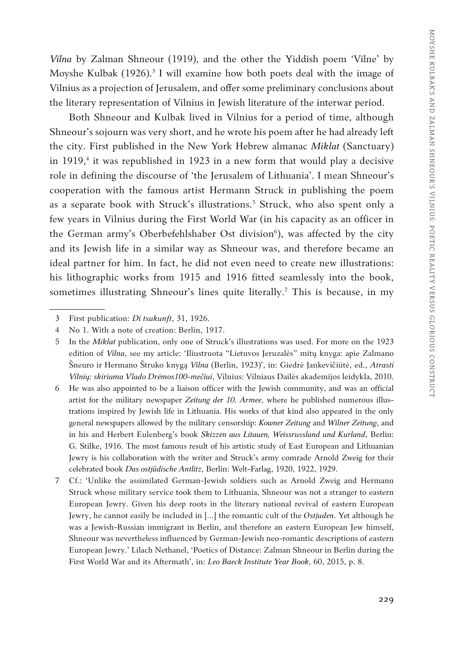*Vilna* by Zalman Shneour (1919), and the other the Yiddish poem 'Vilne' by Moyshe Kulbak  $(1926)^3$  I will examine how both poets deal with the image of Vilnius as a projection of Jerusalem, and offer some preliminary conclusions about the literary representation of Vilnius in Jewish literature of the interwar period.

Both Shneour and Kulbak lived in Vilnius for a period of time, although Shneour's sojourn was very short, and he wrote his poem after he had already left the city. First published in the New York Hebrew almanac *Miklat* (Sanctuary) in 1919,<sup>4</sup> it was republished in 1923 in a new form that would play a decisive role in defining the discourse of 'the Jerusalem of Lithuania'. I mean Shneour's cooperation with the famous artist Hermann Struck in publishing the poem as a separate book with Struck's illustrations.<sup>5</sup> Struck, who also spent only a few years in Vilnius during the First World War (in his capacity as an officer in the German army's Oberbefehlshaber Ost division<sup>6</sup>), was affected by the city and its Jewish life in a similar way as Shneour was, and therefore became an ideal partner for him. In fact, he did not even need to create new illustrations: his lithographic works from 1915 and 1916 fitted seamlessly into the book, sometimes illustrating Shneour's lines quite literally.7 This is because, in my

- 6 He was also appointed to be a liaison officer with the Jewish community, and was an official artist for the military newspaper *Zeitung der 10. Armee*, where he published numerous illustrations inspired by Jewish life in Lithuania. His works of that kind also appeared in the only general newspapers allowed by the military censorship: *Kowner Zeitung* and *Wilner Zeitung*, and in his and Herbert Eulenberg's book *Skizzen aus Litauen, Weissrussland und Kurland*, Berlin: G. Stilke, 1916. The most famous result of his artistic study of East European and Lithuanian Jewry is his collaboration with the writer and Struck's army comrade Arnold Zweig for their celebrated book *Das ostjüdische Antlitz*, Berlin: Welt-Farlag, 1920, 1922, 1929.
- 7 Cf.: 'Unlike the assimilated German-Jewish soldiers such as Arnold Zweig and Hermann Struck whose military service took them to Lithuania, Shneour was not a stranger to eastern European Jewry. Given his deep roots in the literary national revival of eastern European Jewry, he cannot easily be included in […] the romantic cult of the *Ostjuden*. Yet although he was a Jewish-Russian immigrant in Berlin, and therefore an eastern European Jew himself, Shneour was nevertheless influenced by German-Jewish neo-romantic descriptions of eastern European Jewry.' Lilach Nethanel, 'Poetics of Distance: Zalman Shneour in Berlin during the First World War and its Aftermath', in: *Leo Baeck Institute Year Book*, 60, 2015, p. 8.

<sup>3</sup> First publication: *Di tsukunft*, 31, 1926.

<sup>4</sup> No 1. With a note of creation: Berlin, 1917.

<sup>5</sup> In the *Miklat* publication, only one of Struck's illustrations was used. For more on the 1923 edition of *Vilna*, see my article: 'Iliustruota "Lietuvos Jeruzalės" mitų knyga: apie Zalmano Šneuro ir Hermano Štruko knygą *Vilna* (Berlin, 1923)', in: Giedrė Jankevičiūtė, ed., *Atrasti Vilnių: skiriama Vlado Drėmos100-mečiui*, Vilnius: Vilniaus Dailės akademijos leidykla, 2010.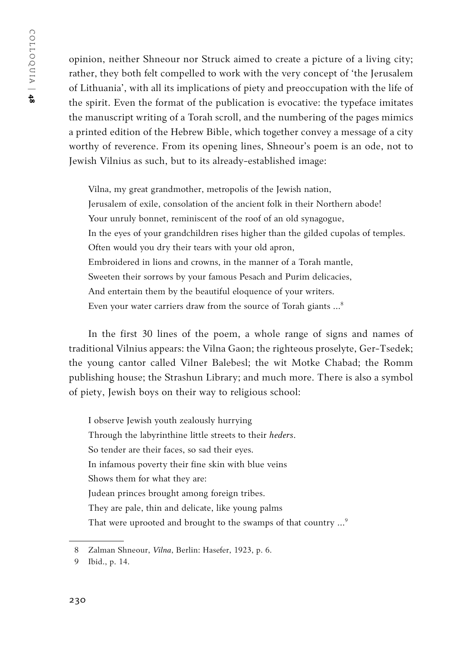opinion, neither Shneour nor Struck aimed to create a picture of a living city; rather, they both felt compelled to work with the very concept of 'the Jerusalem of Lithuania', with all its implications of piety and preoccupation with the life of the spirit. Even the format of the publication is evocative: the typeface imitates the manuscript writing of a Torah scroll, and the numbering of the pages mimics a printed edition of the Hebrew Bible, which together convey a message of a city worthy of reverence. From its opening lines, Shneour's poem is an ode, not to Jewish Vilnius as such, but to its already-established image:

Vilna, my great grandmother, metropolis of the Jewish nation, Jerusalem of exile, consolation of the ancient folk in their Northern abode! Your unruly bonnet, reminiscent of the roof of an old synagogue, In the eyes of your grandchildren rises higher than the gilded cupolas of temples. Often would you dry their tears with your old apron, Embroidered in lions and crowns, in the manner of a Torah mantle, Sweeten their sorrows by your famous Pesach and Purim delicacies, And entertain them by the beautiful eloquence of your writers. Even your water carriers draw from the source of Torah giants …8

In the first 30 lines of the poem, a whole range of signs and names of traditional Vilnius appears: the Vilna Gaon; the righteous proselyte, Ger-Tsedek; the young cantor called Vilner Balebesl; the wit Motke Chabad; the Romm publishing house; the Strashun Library; and much more. There is also a symbol of piety, Jewish boys on their way to religious school:

I observe Jewish youth zealously hurrying Through the labyrinthine little streets to their *heders*. So tender are their faces, so sad their eyes. In infamous poverty their fine skin with blue veins Shows them for what they are: Judean princes brought among foreign tribes. They are pale, thin and delicate, like young palms That were uprooted and brought to the swamps of that country ...<sup>9</sup>

<sup>8</sup> Zalman Shneour, *Vilna*, Berlin: Hasefer, 1923, p. 6.

<sup>9</sup> Ibid., p. 14.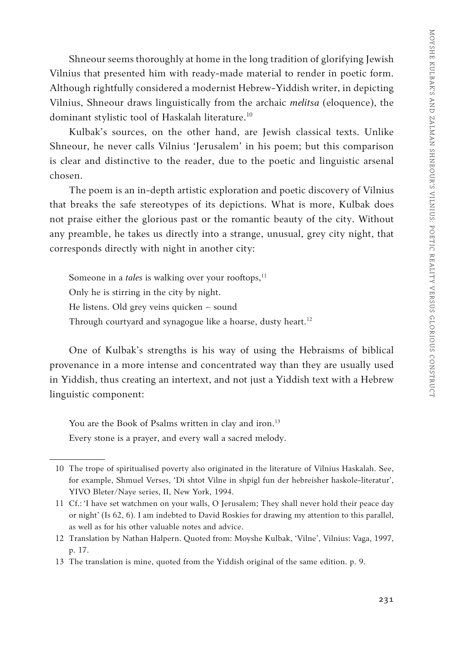Shneour seems thoroughly at home in the long tradition of glorifying Jewish Vilnius that presented him with ready-made material to render in poetic form. Although rightfully considered a modernist Hebrew-Yiddish writer, in depicting Vilnius, Shneour draws linguistically from the archaic *melitsa* (eloquence), the dominant stylistic tool of Haskalah literature.<sup>10</sup>

Kulbak's sources, on the other hand, are Jewish classical texts. Unlike Shneour, he never calls Vilnius 'Jerusalem' in his poem; but this comparison is clear and distinctive to the reader, due to the poetic and linguistic arsenal chosen.

The poem is an in-depth artistic exploration and poetic discovery of Vilnius that breaks the safe stereotypes of its depictions. What is more, Kulbak does not praise either the glorious past or the romantic beauty of the city. Without any preamble, he takes us directly into a strange, unusual, grey city night, that corresponds directly with night in another city:

Someone in a *tales* is walking over your rooftops,<sup>11</sup> Only he is stirring in the city by night. He listens. Old grey veins quicken – sound Through courtyard and synagogue like a hoarse, dusty heart.<sup>12</sup>

One of Kulbak's strengths is his way of using the Hebraisms of biblical provenance in a more intense and concentrated way than they are usually used in Yiddish, thus creating an intertext, and not just a Yiddish text with a Hebrew linguistic component:

You are the Book of Psalms written in clay and iron.<sup>13</sup> Every stone is a prayer, and every wall a sacred melody.

<sup>10</sup> The trope of spiritualised poverty also originated in the literature of Vilnius Haskalah. See, for example, Shmuel Verses, 'Di shtot Vilne in shpigl fun der hebreisher haskole-literatur', YIVO Bleter/Naye series, II, New York, 1994.

<sup>11</sup> Cf.: 'I have set watchmen on your walls, O Jerusalem; They shall never hold their peace day or night' (Is 62, 6). I am indebted to David Roskies for drawing my attention to this parallel, as well as for his other valuable notes and advice.

<sup>12</sup> Translation by Nathan Halpern. Quoted from: Moyshe Kulbak, 'Vilne', Vilnius: Vaga, 1997, p. 17.

<sup>13</sup> The translation is mine, quoted from the Yiddish original of the same edition. p. 9.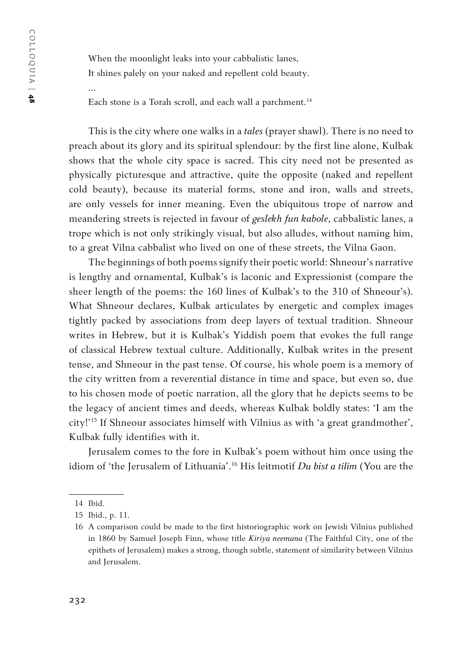…

When the moonlight leaks into your cabbalistic lanes, It shines palely on your naked and repellent cold beauty.

Each stone is a Torah scroll, and each wall a parchment.<sup>14</sup>

This is the city where one walks in a *tales* (prayer shawl). There is no need to preach about its glory and its spiritual splendour: by the first line alone, Kulbak shows that the whole city space is sacred. This city need not be presented as physically picturesque and attractive, quite the opposite (naked and repellent cold beauty), because its material forms, stone and iron, walls and streets, are only vessels for inner meaning. Even the ubiquitous trope of narrow and meandering streets is rejected in favour of *geslekh fun kabole*, cabbalistic lanes, a trope which is not only strikingly visual, but also alludes, without naming him, to a great Vilna cabbalist who lived on one of these streets, the Vilna Gaon.

The beginnings of both poems signify their poetic world: Shneour's narrative is lengthy and ornamental, Kulbak's is laconic and Expressionist (compare the sheer length of the poems: the 160 lines of Kulbak's to the 310 of Shneour's). What Shneour declares, Kulbak articulates by energetic and complex images tightly packed by associations from deep layers of textual tradition. Shneour writes in Hebrew, but it is Kulbak's Yiddish poem that evokes the full range of classical Hebrew textual culture. Additionally, Kulbak writes in the present tense, and Shneour in the past tense. Of course, his whole poem is a memory of the city written from a reverential distance in time and space, but even so, due to his chosen mode of poetic narration, all the glory that he depicts seems to be the legacy of ancient times and deeds, whereas Kulbak boldly states: 'I am the city!'15 If Shneour associates himself with Vilnius as with 'a great grandmother', Kulbak fully identifies with it.

Jerusalem comes to the fore in Kulbak's poem without him once using the idiom of 'the Jerusalem of Lithuania'.16 His leitmotif *Du bist a tilim* (You are the

<sup>14</sup> Ibid.

<sup>15</sup> Ibid., p. 11.

<sup>16</sup> A comparison could be made to the first historiographic work on Jewish Vilnius published in 1860 by Samuel Joseph Finn, whose title *Kiriya neemana* (The Faithful City, one of the epithets of Jerusalem) makes a strong, though subtle, statement of similarity between Vilnius and Jerusalem.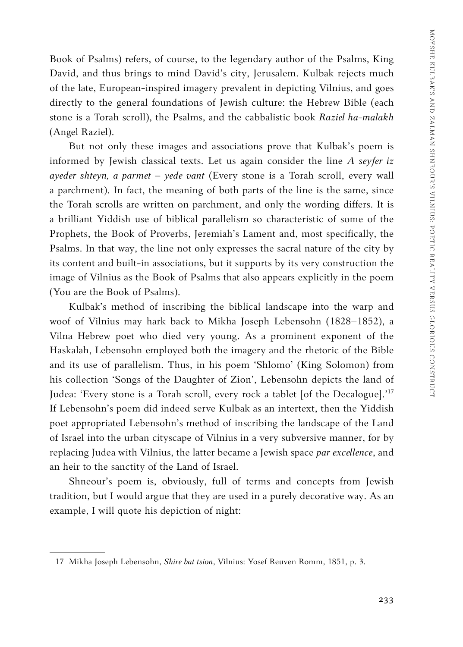Book of Psalms) refers, of course, to the legendary author of the Psalms, King David, and thus brings to mind David's city, Jerusalem. Kulbak rejects much of the late, European-inspired imagery prevalent in depicting Vilnius, and goes directly to the general foundations of Jewish culture: the Hebrew Bible (each stone is a Torah scroll), the Psalms, and the cabbalistic book *Raziel ha-malakh* (Angel Raziel).

But not only these images and associations prove that Kulbak's poem is informed by Jewish classical texts. Let us again consider the line *A seyfer iz ayeder shteyn, a parmet – yede vant* (Every stone is a Torah scroll, every wall a parchment). In fact, the meaning of both parts of the line is the same, since the Torah scrolls are written on parchment, and only the wording differs. It is a brilliant Yiddish use of biblical parallelism so characteristic of some of the Prophets, the Book of Proverbs, Jeremiah's Lament and, most specifically, the Psalms. In that way, the line not only expresses the sacral nature of the city by its content and built-in associations, but it supports by its very construction the image of Vilnius as the Book of Psalms that also appears explicitly in the poem (You are the Book of Psalms).

Kulbak's method of inscribing the biblical landscape into the warp and woof of Vilnius may hark back to Mikha Joseph Lebensohn (1828–1852), a Vilna Hebrew poet who died very young. As a prominent exponent of the Haskalah, Lebensohn employed both the imagery and the rhetoric of the Bible and its use of parallelism. Thus, in his poem 'Shlomo' (King Solomon) from his collection 'Songs of the Daughter of Zion', Lebensohn depicts the land of Judea: 'Every stone is a Torah scroll, every rock a tablet [of the Decalogue].'17 If Lebensohn's poem did indeed serve Kulbak as an intertext, then the Yiddish poet appropriated Lebensohn's method of inscribing the landscape of the Land of Israel into the urban cityscape of Vilnius in a very subversive manner, for by replacing Judea with Vilnius, the latter became a Jewish space *par excellence*, and an heir to the sanctity of the Land of Israel.

Shneour's poem is, obviously, full of terms and concepts from Jewish tradition, but I would argue that they are used in a purely decorative way. As an example, I will quote his depiction of night:

<sup>17</sup> Mikha Joseph Lebensohn, *Shire bat tsion*, Vilnius: Yosef Reuven Romm, 1851, p. 3.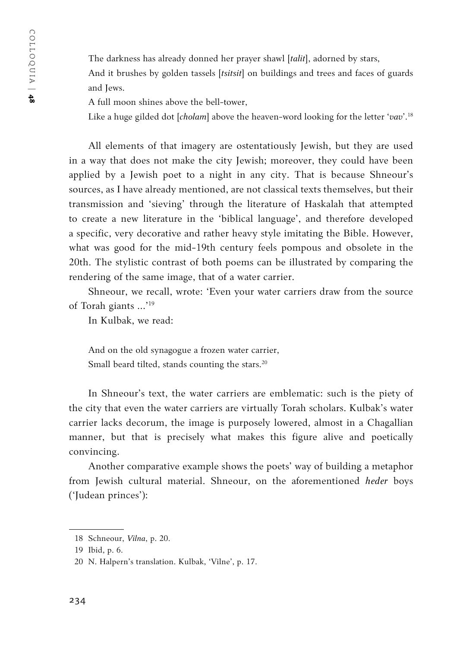The darkness has already donned her prayer shawl [*talit*], adorned by stars,

And it brushes by golden tassels [*tsitsit*] on buildings and trees and faces of guards and Jews.

A full moon shines above the bell-tower,

Like a huge gilded dot [*cholam*] above the heaven-word looking for the letter '*vav*'.18

All elements of that imagery are ostentatiously Jewish, but they are used in a way that does not make the city Jewish; moreover, they could have been applied by a Jewish poet to a night in any city. That is because Shneour's sources, as I have already mentioned, are not classical texts themselves, but their transmission and 'sieving' through the literature of Haskalah that attempted to create a new literature in the 'biblical language', and therefore developed a specific, very decorative and rather heavy style imitating the Bible. However, what was good for the mid-19th century feels pompous and obsolete in the 20th. The stylistic contrast of both poems can be illustrated by comparing the rendering of the same image, that of a water carrier.

Shneour, we recall, wrote: 'Even your water carriers draw from the source of Torah giants …'19

In Kulbak, we read:

And on the old synagogue a frozen water carrier, Small beard tilted, stands counting the stars.<sup>20</sup>

In Shneour's text, the water carriers are emblematic: such is the piety of the city that even the water carriers are virtually Torah scholars. Kulbak's water carrier lacks decorum, the image is purposely lowered, almost in a Сhagallian manner, but that is precisely what makes this figure alive and poetically convincing.

Another comparative example shows the poets' way of building a metaphor from Jewish cultural material. Shneour, on the aforementioned *heder* boys ('Judean princes'):

<sup>18</sup> Schneour, *Vilna*, p. 20.

<sup>19</sup> Ibid, p. 6.

<sup>20</sup> N. Halpern's translation. Kulbak, 'Vilne', p. 17.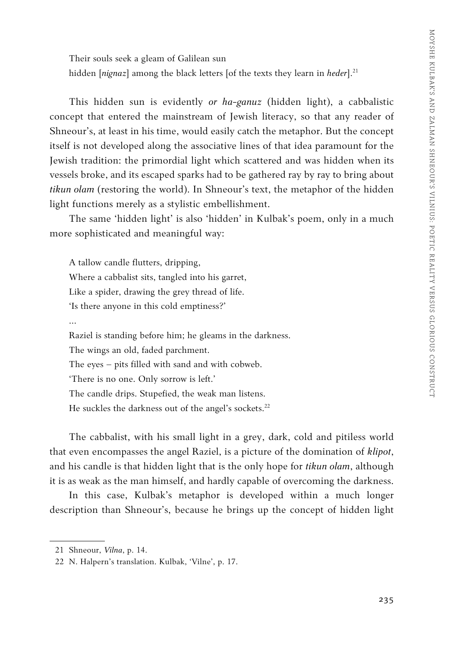Their souls seek a gleam of Galilean sun hidden [nignaz] among the black letters [of the texts they learn in heder].<sup>21</sup>

This hidden sun is evidently *or ha-ganuz* (hidden light), a cabbalistic concept that entered the mainstream of Jewish literacy, so that any reader of Shneour's, at least in his time, would easily catch the metaphor. But the concept itself is not developed along the associative lines of that idea paramount for the Jewish tradition: the primordial light which scattered and was hidden when its vessels broke, and its escaped sparks had to be gathered ray by ray to bring about *tikun olam* (restoring the world). In Shneour's text, the metaphor of the hidden light functions merely as a stylistic embellishment.

The same 'hidden light' is also 'hidden' in Kulbak's poem, only in a much more sophisticated and meaningful way:

A tallow candle flutters, dripping, Where a cabbalist sits, tangled into his garret, Like a spider, drawing the grey thread of life. 'Is there anyone in this cold emptiness?' … Raziel is standing before him; he gleams in the darkness. The wings an old, faded parchment. The eyes – pits filled with sand and with cobweb. 'There is no one. Only sorrow is left.' The candle drips. Stupefied, the weak man listens. He suckles the darkness out of the angel's sockets.<sup>22</sup>

The cabbalist, with his small light in a grey, dark, cold and pitiless world that even encompasses the angel Raziel, is a picture of the domination of *klipot*, and his candle is that hidden light that is the only hope for *tikun olam*, although it is as weak as the man himself, and hardly capable of overcoming the darkness.

In this case, Kulbak's metaphor is developed within a much longer description than Shneour's, because he brings up the concept of hidden light

<sup>21</sup> Shneour, *Vilna*, p. 14.

<sup>22</sup> N. Halpern's translation. Kulbak, 'Vilne', p. 17.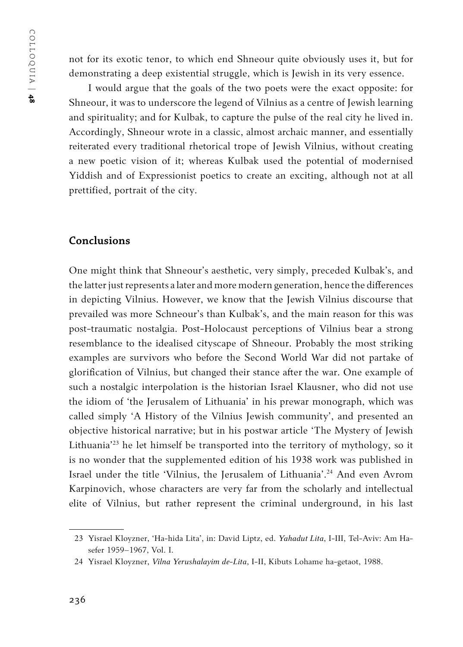not for its exotic tenor, to which end Shneour quite obviously uses it, but for demonstrating a deep existential struggle, which is Jewish in its very essence.

I would argue that the goals of the two poets were the exact opposite: for Shneour, it was to underscore the legend of Vilnius as a centre of Jewish learning and spirituality; and for Kulbak, to capture the pulse of the real city he lived in. Accordingly, Shneour wrote in a classic, almost archaic manner, and essentially reiterated every traditional rhetorical trope of Jewish Vilnius, without creating a new poetic vision of it; whereas Kulbak used the potential of modernised Yiddish and of Expressionist poetics to create an exciting, although not at all prettified, portrait of the city.

### **Conclusions**

One might think that Shneour's aesthetic, very simply, preceded Kulbak's, and the latter just represents a later and more modern generation, hence the differences in depicting Vilnius. However, we know that the Jewish Vilnius discourse that prevailed was more Schneour's than Kulbak's, and the main reason for this was post-traumatic nostalgia. Post-Holocaust perceptions of Vilnius bear a strong resemblance to the idealised cityscape of Shneour. Probably the most striking examples are survivors who before the Second World War did not partake of glorification of Vilnius, but changed their stance after the war. One example of such a nostalgic interpolation is the historian Israel Klausner, who did not use the idiom of 'the Jerusalem of Lithuania' in his prewar monograph, which was called simply 'A History of the Vilnius Jewish community', and presented an objective historical narrative; but in his postwar article 'The Mystery of Jewish Lithuania'23 he let himself be transported into the territory of mythology, so it is no wonder that the supplemented edition of his 1938 work was published in Israel under the title 'Vilnius, the Jerusalem of Lithuania'.24 And even Avrom Karpinovich, whose characters are very far from the scholarly and intellectual elite of Vilnius, but rather represent the criminal underground, in his last

<sup>23</sup> Yisrael Kloyzner, 'Ha-hida Lita', in: David Liptz, ed. *Yahadut Lita*, I-III, Tel-Aviv: Am Hasefer 1959–1967, Vol. I.

<sup>24</sup> Yisrael Kloyzner, *Vilna Yerushalayim de-Lita*, I-II, Kibuts Lohame ha-getaot, 1988.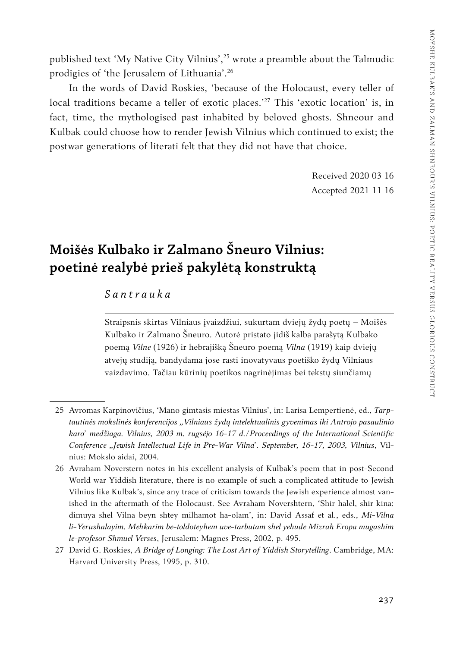published text 'My Native City Vilnius',25 wrote a preamble about the Talmudic prodigies of 'the Jerusalem of Lithuania'.26

In the words of David Roskies, 'because of the Holocaust, every teller of local traditions became a teller of exotic places.<sup>27</sup> This 'exotic location' is, in fact, time, the mythologised past inhabited by beloved ghosts. Shneour and Kulbak could choose how to render Jewish Vilnius which continued to exist; the postwar generations of literati felt that they did not have that choice.

> Received 2020 03 16 Accepted 2021 11 16

## **Moišės Kulbako ir Zalmano Šneuro Vilnius: poetinė realybė prieš pakylėtą konstruktą**

### *Santrauka*

Straipsnis skirtas Vilniaus įvaizdžiui, sukurtam dviejų žydų poetų – Moišės Kulbako ir Zalmano Šneuro. Autorė pristato jidiš kalba parašytą Kulbako poemą *Vilne* (1926) ir hebrajišką Šneuro poemą *Vilna* (1919) kaip dviejų atvejų studiją, bandydama jose rasti inovatyvaus poetiško žydų Vilniaus vaizdavimo. Tačiau kūrinių poetikos nagrinėjimas bei tekstų siunčiamų

<sup>25</sup> Avromas Karpinovičius, 'Mano gimtasis miestas Vilnius', in: Larisa Lempertienė, ed., *Tarptautinės mokslinės konferencijos "Vilniaus žydų intelektualinis gyvenimas iki Antrojo pasaulinio karo' medžiaga. Vilnius, 2003 m. rugsėjo 16-17 d./Proceedings of the International Scientific Conference "Jewish Intellectual Life in Pre-War Vilna'. September, 16-17, 2003, Vilnius*, Vilnius: Mokslo aidai, 2004.

<sup>26</sup> Avraham Noverstern notes in his excellent analysis of Kulbak's poem that in post-Second World war Yiddish literature, there is no example of such a complicated attitude to Jewish Vilnius like Kulbak's, since any trace of criticism towards the Jewish experience almost vanished in the aftermath of the Holocaust. See Avraham Novershtern, 'Shir halel, shir kina: dimuya shel Vilna beyn shtey milhamot ha-olam', in: David Assaf et al., eds., *Mi-Vilna li-Yerushalayim. Mehkarim be-toldoteyhem uve-tarbutam shel yehude Mizrah Eropa mugashim le-profesor Shmuel Verses*, Jerusalem: Magnes Press, 2002, p. 495.

<sup>27</sup> David G. Roskies, *A Bridge of Longing: The Lost Art of Yiddish Storytelling*. Cambridge, MA: Harvard University Press, 1995, p. 310.